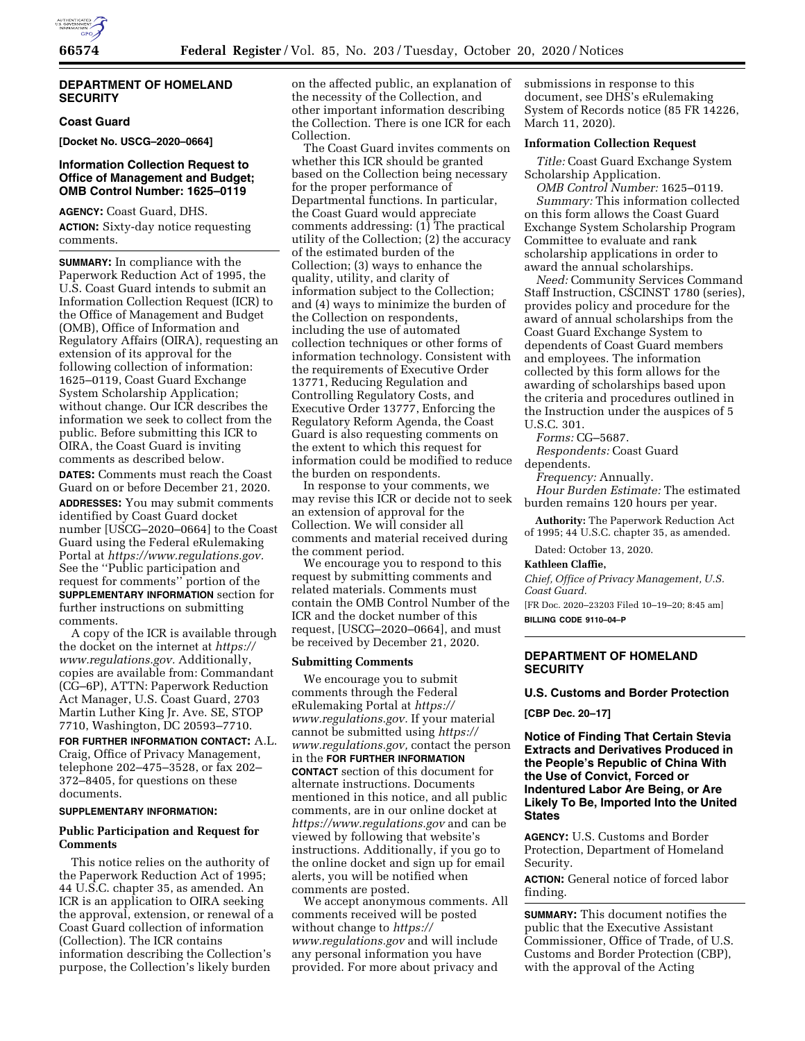

### **DEPARTMENT OF HOMELAND SECURITY**

# **Coast Guard**

**[Docket No. USCG–2020–0664]** 

# **Information Collection Request to Office of Management and Budget; OMB Control Number: 1625–0119**

**AGENCY:** Coast Guard, DHS. **ACTION:** Sixty-day notice requesting comments.

**SUMMARY:** In compliance with the Paperwork Reduction Act of 1995, the U.S. Coast Guard intends to submit an Information Collection Request (ICR) to the Office of Management and Budget (OMB), Office of Information and Regulatory Affairs (OIRA), requesting an extension of its approval for the following collection of information: 1625–0119, Coast Guard Exchange System Scholarship Application; without change. Our ICR describes the information we seek to collect from the public. Before submitting this ICR to OIRA, the Coast Guard is inviting comments as described below. **DATES:** Comments must reach the Coast Guard on or before December 21, 2020.

**ADDRESSES:** You may submit comments identified by Coast Guard docket number [USCG–2020–0664] to the Coast Guard using the Federal eRulemaking Portal at *[https://www.regulations.gov.](https://www.regulations.gov)*  See the ''Public participation and request for comments'' portion of the **SUPPLEMENTARY INFORMATION** section for further instructions on submitting comments.

A copy of the ICR is available through the docket on the internet at *[https://](https://www.regulations.gov) [www.regulations.gov.](https://www.regulations.gov)* Additionally, copies are available from: Commandant (CG–6P), ATTN: Paperwork Reduction Act Manager, U.S. Coast Guard, 2703 Martin Luther King Jr. Ave. SE, STOP 7710, Washington, DC 20593–7710.

**FOR FURTHER INFORMATION CONTACT:** A.L. Craig, Office of Privacy Management, telephone 202–475–3528, or fax 202– 372–8405, for questions on these documents.

### **SUPPLEMENTARY INFORMATION:**

## **Public Participation and Request for Comments**

This notice relies on the authority of the Paperwork Reduction Act of 1995; 44 U.S.C. chapter 35, as amended. An ICR is an application to OIRA seeking the approval, extension, or renewal of a Coast Guard collection of information (Collection). The ICR contains information describing the Collection's purpose, the Collection's likely burden

on the affected public, an explanation of the necessity of the Collection, and other important information describing the Collection. There is one ICR for each Collection.

The Coast Guard invites comments on whether this ICR should be granted based on the Collection being necessary for the proper performance of Departmental functions. In particular, the Coast Guard would appreciate comments addressing: (1) The practical utility of the Collection; (2) the accuracy of the estimated burden of the Collection; (3) ways to enhance the quality, utility, and clarity of information subject to the Collection; and (4) ways to minimize the burden of the Collection on respondents, including the use of automated collection techniques or other forms of information technology. Consistent with the requirements of Executive Order 13771, Reducing Regulation and Controlling Regulatory Costs, and Executive Order 13777, Enforcing the Regulatory Reform Agenda, the Coast Guard is also requesting comments on the extent to which this request for information could be modified to reduce the burden on respondents.

In response to your comments, we may revise this ICR or decide not to seek an extension of approval for the Collection. We will consider all comments and material received during the comment period.

We encourage you to respond to this request by submitting comments and related materials. Comments must contain the OMB Control Number of the ICR and the docket number of this request, [USCG–2020–0664], and must be received by December 21, 2020.

#### **Submitting Comments**

We encourage you to submit comments through the Federal eRulemaking Portal at *[https://](https://www.regulations.gov) [www.regulations.gov.](https://www.regulations.gov)* If your material cannot be submitted using *[https://](https://www.regulations.gov) [www.regulations.gov,](https://www.regulations.gov)* contact the person in the **FOR FURTHER INFORMATION CONTACT** section of this document for alternate instructions. Documents mentioned in this notice, and all public comments, are in our online docket at *<https://www.regulations.gov>* and can be viewed by following that website's instructions. Additionally, if you go to the online docket and sign up for email alerts, you will be notified when comments are posted.

We accept anonymous comments. All comments received will be posted without change to *[https://](https://www.regulations.gov) [www.regulations.gov](https://www.regulations.gov)* and will include any personal information you have provided. For more about privacy and

submissions in response to this document, see DHS's eRulemaking System of Records notice (85 FR 14226, March 11, 2020).

# **Information Collection Request**

*Title:* Coast Guard Exchange System Scholarship Application.

*OMB Control Number:* 1625–0119. *Summary:* This information collected on this form allows the Coast Guard Exchange System Scholarship Program Committee to evaluate and rank scholarship applications in order to award the annual scholarships.

*Need:* Community Services Command Staff Instruction, CSCINST 1780 (series), provides policy and procedure for the award of annual scholarships from the Coast Guard Exchange System to dependents of Coast Guard members and employees. The information collected by this form allows for the awarding of scholarships based upon the criteria and procedures outlined in the Instruction under the auspices of 5 U.S.C. 301.

*Forms:* CG–5687.

*Respondents:* Coast Guard

dependents.

*Frequency:* Annually.

*Hour Burden Estimate:* The estimated burden remains 120 hours per year.

**Authority:** The Paperwork Reduction Act of 1995; 44 U.S.C. chapter 35, as amended.

Dated: October 13, 2020.

**Kathleen Claffie,** 

*Chief, Office of Privacy Management, U.S. Coast Guard.* 

[FR Doc. 2020–23203 Filed 10–19–20; 8:45 am] **BILLING CODE 9110–04–P** 

## **DEPARTMENT OF HOMELAND SECURITY**

#### **U.S. Customs and Border Protection**

**[CBP Dec. 20–17]** 

**Notice of Finding That Certain Stevia Extracts and Derivatives Produced in the People's Republic of China With the Use of Convict, Forced or Indentured Labor Are Being, or Are Likely To Be, Imported Into the United States** 

**AGENCY:** U.S. Customs and Border Protection, Department of Homeland Security.

**ACTION:** General notice of forced labor finding.

**SUMMARY:** This document notifies the public that the Executive Assistant Commissioner, Office of Trade, of U.S. Customs and Border Protection (CBP), with the approval of the Acting